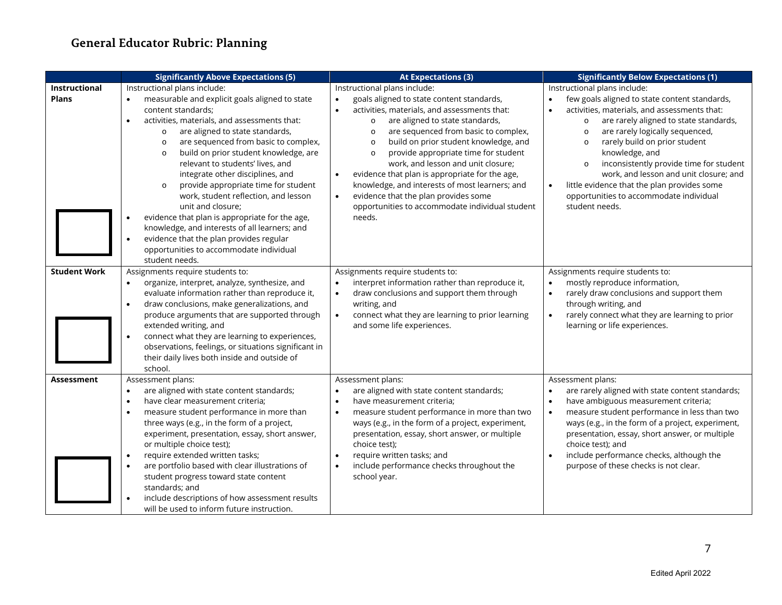# **General Educator Rubric: Planning**

|                               | <b>Significantly Above Expectations (5)</b>                                                                                                                                                                                                                                                                                                                                                                                                                                                                                                                                                                                                                                                                                                         | <b>At Expectations (3)</b>                                                                                                                                                                                                                                                                                                                                                                                                                                                                                                                                                                                   | <b>Significantly Below Expectations (1)</b>                                                                                                                                                                                                                                                                                                                                                                                                                                                                                             |
|-------------------------------|-----------------------------------------------------------------------------------------------------------------------------------------------------------------------------------------------------------------------------------------------------------------------------------------------------------------------------------------------------------------------------------------------------------------------------------------------------------------------------------------------------------------------------------------------------------------------------------------------------------------------------------------------------------------------------------------------------------------------------------------------------|--------------------------------------------------------------------------------------------------------------------------------------------------------------------------------------------------------------------------------------------------------------------------------------------------------------------------------------------------------------------------------------------------------------------------------------------------------------------------------------------------------------------------------------------------------------------------------------------------------------|-----------------------------------------------------------------------------------------------------------------------------------------------------------------------------------------------------------------------------------------------------------------------------------------------------------------------------------------------------------------------------------------------------------------------------------------------------------------------------------------------------------------------------------------|
| Instructional<br><b>Plans</b> | Instructional plans include:<br>measurable and explicit goals aligned to state<br>$\bullet$<br>content standards;<br>activities, materials, and assessments that:<br>$\bullet$<br>are aligned to state standards,<br>$\circ$<br>are sequenced from basic to complex,<br>$\circ$<br>build on prior student knowledge, are<br>$\circ$<br>relevant to students' lives, and<br>integrate other disciplines, and<br>provide appropriate time for student<br>$\circ$<br>work, student reflection, and lesson<br>unit and closure:<br>evidence that plan is appropriate for the age,<br>knowledge, and interests of all learners; and<br>evidence that the plan provides regular<br>$\bullet$<br>opportunities to accommodate individual<br>student needs. | Instructional plans include:<br>goals aligned to state content standards,<br>$\bullet$<br>activities, materials, and assessments that:<br>are aligned to state standards,<br>$\circ$<br>are sequenced from basic to complex,<br>$\Omega$<br>build on prior student knowledge, and<br>$\Omega$<br>provide appropriate time for student<br>$\circ$<br>work, and lesson and unit closure;<br>evidence that plan is appropriate for the age,<br>knowledge, and interests of most learners; and<br>evidence that the plan provides some<br>$\bullet$<br>opportunities to accommodate individual student<br>needs. | Instructional plans include:<br>few goals aligned to state content standards,<br>$\bullet$<br>activities, materials, and assessments that:<br>$\bullet$<br>are rarely aligned to state standards,<br>$\circ$<br>are rarely logically sequenced,<br>$\Omega$<br>rarely build on prior student<br>$\circ$<br>knowledge, and<br>inconsistently provide time for student<br>work, and lesson and unit closure; and<br>little evidence that the plan provides some<br>$\bullet$<br>opportunities to accommodate individual<br>student needs. |
| <b>Student Work</b>           | Assignments require students to:<br>organize, interpret, analyze, synthesize, and<br>$\bullet$<br>evaluate information rather than reproduce it,<br>draw conclusions, make generalizations, and<br>$\bullet$<br>produce arguments that are supported through<br>extended writing, and<br>connect what they are learning to experiences,<br>observations, feelings, or situations significant in<br>their daily lives both inside and outside of<br>school.                                                                                                                                                                                                                                                                                          | Assignments require students to:<br>interpret information rather than reproduce it,<br>$\bullet$<br>draw conclusions and support them through<br>$\bullet$<br>writing, and<br>connect what they are learning to prior learning<br>$\bullet$<br>and some life experiences.                                                                                                                                                                                                                                                                                                                                    | Assignments require students to:<br>mostly reproduce information,<br>$\bullet$<br>rarely draw conclusions and support them<br>$\bullet$<br>through writing, and<br>rarely connect what they are learning to prior<br>$\bullet$<br>learning or life experiences.                                                                                                                                                                                                                                                                         |
| Assessment                    | Assessment plans:<br>are aligned with state content standards;<br>$\bullet$<br>have clear measurement criteria;<br>$\bullet$<br>measure student performance in more than<br>$\bullet$<br>three ways (e.g., in the form of a project,<br>experiment, presentation, essay, short answer,<br>or multiple choice test);<br>require extended written tasks;<br>$\bullet$<br>are portfolio based with clear illustrations of<br>$\bullet$<br>student progress toward state content<br>standards; and<br>include descriptions of how assessment results<br>will be used to inform future instruction.                                                                                                                                                      | Assessment plans:<br>are aligned with state content standards;<br>have measurement criteria;<br>measure student performance in more than two<br>$\bullet$<br>ways (e.g., in the form of a project, experiment,<br>presentation, essay, short answer, or multiple<br>choice test);<br>require written tasks; and<br>$\bullet$<br>include performance checks throughout the<br>school year.                                                                                                                                                                                                                    | Assessment plans:<br>are rarely aligned with state content standards;<br>$\bullet$<br>have ambiguous measurement criteria;<br>$\bullet$<br>measure student performance in less than two<br>$\bullet$<br>ways (e.g., in the form of a project, experiment,<br>presentation, essay, short answer, or multiple<br>choice test); and<br>include performance checks, although the<br>$\bullet$<br>purpose of these checks is not clear.                                                                                                      |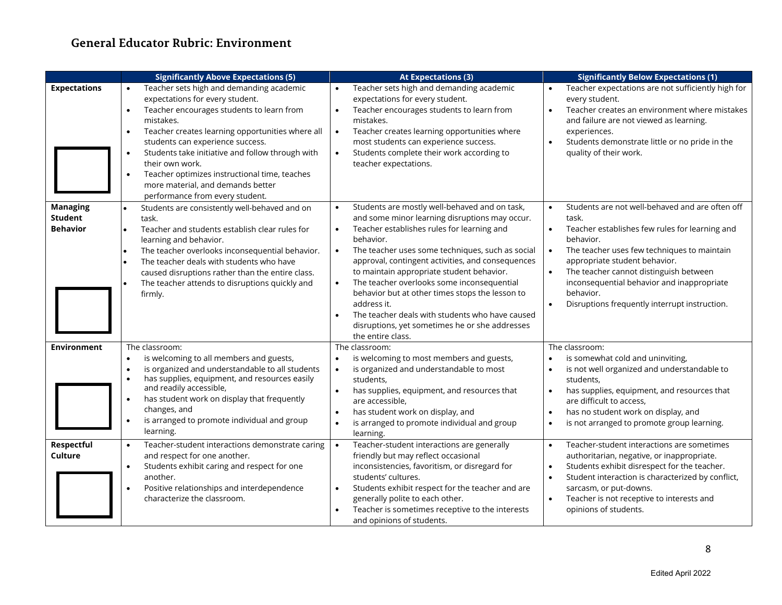# **General Educator Rubric: Environment**

|                                                      | <b>Significantly Above Expectations (5)</b>                                                                                                                                                                                                                                                                                                                                                                                   | <b>At Expectations (3)</b>                                                                                                                                                                                                                                                                                                                                                                                                                                                                                                                                                                                     | <b>Significantly Below Expectations (1)</b>                                                                                                                                                                                                                                                                                                                   |
|------------------------------------------------------|-------------------------------------------------------------------------------------------------------------------------------------------------------------------------------------------------------------------------------------------------------------------------------------------------------------------------------------------------------------------------------------------------------------------------------|----------------------------------------------------------------------------------------------------------------------------------------------------------------------------------------------------------------------------------------------------------------------------------------------------------------------------------------------------------------------------------------------------------------------------------------------------------------------------------------------------------------------------------------------------------------------------------------------------------------|---------------------------------------------------------------------------------------------------------------------------------------------------------------------------------------------------------------------------------------------------------------------------------------------------------------------------------------------------------------|
| <b>Expectations</b>                                  | Teacher sets high and demanding academic<br>expectations for every student.<br>Teacher encourages students to learn from<br>mistakes.<br>Teacher creates learning opportunities where all<br>students can experience success.<br>Students take initiative and follow through with<br>their own work.<br>Teacher optimizes instructional time, teaches<br>more material, and demands better<br>performance from every student. | Teacher sets high and demanding academic<br>expectations for every student.<br>Teacher encourages students to learn from<br>$\bullet$<br>mistakes.<br>Teacher creates learning opportunities where<br>$\bullet$<br>most students can experience success.<br>Students complete their work according to<br>$\bullet$<br>teacher expectations.                                                                                                                                                                                                                                                                    | Teacher expectations are not sufficiently high for<br>every student.<br>Teacher creates an environment where mistakes<br>and failure are not viewed as learning.<br>experiences.<br>Students demonstrate little or no pride in the<br>quality of their work.                                                                                                  |
| <b>Managing</b><br><b>Student</b><br><b>Behavior</b> | Students are consistently well-behaved and on<br>$\bullet$<br>task.<br>Teacher and students establish clear rules for<br>$\bullet$<br>learning and behavior.<br>The teacher overlooks inconsequential behavior.<br>$\bullet$<br>The teacher deals with students who have<br>caused disruptions rather than the entire class.<br>The teacher attends to disruptions quickly and<br>firmly.                                     | Students are mostly well-behaved and on task,<br>$\bullet$<br>and some minor learning disruptions may occur.<br>Teacher establishes rules for learning and<br>$\bullet$<br>behavior.<br>The teacher uses some techniques, such as social<br>$\bullet$<br>approval, contingent activities, and consequences<br>to maintain appropriate student behavior.<br>The teacher overlooks some inconsequential<br>$\bullet$<br>behavior but at other times stops the lesson to<br>address it.<br>The teacher deals with students who have caused<br>disruptions, yet sometimes he or she addresses<br>the entire class. | Students are not well-behaved and are often off<br>task.<br>Teacher establishes few rules for learning and<br>behavior.<br>The teacher uses few techniques to maintain<br>appropriate student behavior.<br>The teacher cannot distinguish between<br>inconsequential behavior and inappropriate<br>behavior.<br>Disruptions frequently interrupt instruction. |
| <b>Environment</b>                                   | The classroom:<br>is welcoming to all members and guests,<br>$\bullet$<br>is organized and understandable to all students<br>has supplies, equipment, and resources easily<br>and readily accessible,<br>has student work on display that frequently<br>changes, and<br>is arranged to promote individual and group<br>learning.                                                                                              | The classroom:<br>is welcoming to most members and guests,<br>$\bullet$<br>is organized and understandable to most<br>$\bullet$<br>students.<br>has supplies, equipment, and resources that<br>$\bullet$<br>are accessible,<br>has student work on display, and<br>$\bullet$<br>is arranged to promote individual and group<br>$\bullet$<br>learning.                                                                                                                                                                                                                                                          | The classroom:<br>is somewhat cold and uninviting,<br>is not well organized and understandable to<br>students.<br>has supplies, equipment, and resources that<br>are difficult to access,<br>has no student work on display, and<br>$\bullet$<br>is not arranged to promote group learning.                                                                   |
| Respectful<br>Culture                                | Teacher-student interactions demonstrate caring<br>$\bullet$<br>and respect for one another.<br>Students exhibit caring and respect for one<br>$\bullet$<br>another.<br>Positive relationships and interdependence<br>characterize the classroom.                                                                                                                                                                             | Teacher-student interactions are generally<br>$\bullet$<br>friendly but may reflect occasional<br>inconsistencies, favoritism, or disregard for<br>students' cultures.<br>Students exhibit respect for the teacher and are<br>$\bullet$<br>generally polite to each other.<br>Teacher is sometimes receptive to the interests<br>and opinions of students.                                                                                                                                                                                                                                                     | Teacher-student interactions are sometimes<br>$\bullet$<br>authoritarian, negative, or inappropriate.<br>Students exhibit disrespect for the teacher.<br>$\bullet$<br>Student interaction is characterized by conflict,<br>sarcasm, or put-downs.<br>Teacher is not receptive to interests and<br>opinions of students.                                       |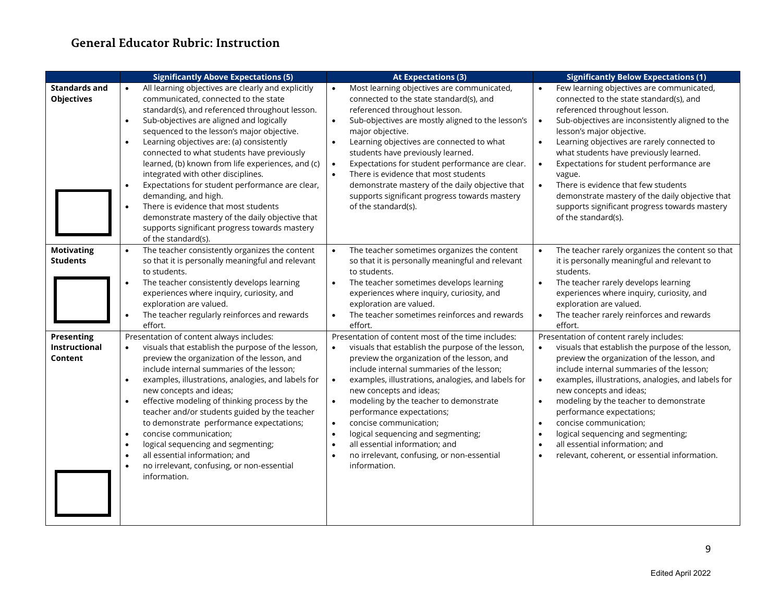|                                                      | <b>Significantly Above Expectations (5)</b>                                                                                                                                                                                                                                                                                                                                                                                                                                                                                                                                                                                                                                                                                    | <b>At Expectations (3)</b>                                                                                                                                                                                                                                                                                                                                                                                                                                                                                                                                                                                             | <b>Significantly Below Expectations (1)</b>                                                                                                                                                                                                                                                                                                                                                                                                                                                                                                                                              |
|------------------------------------------------------|--------------------------------------------------------------------------------------------------------------------------------------------------------------------------------------------------------------------------------------------------------------------------------------------------------------------------------------------------------------------------------------------------------------------------------------------------------------------------------------------------------------------------------------------------------------------------------------------------------------------------------------------------------------------------------------------------------------------------------|------------------------------------------------------------------------------------------------------------------------------------------------------------------------------------------------------------------------------------------------------------------------------------------------------------------------------------------------------------------------------------------------------------------------------------------------------------------------------------------------------------------------------------------------------------------------------------------------------------------------|------------------------------------------------------------------------------------------------------------------------------------------------------------------------------------------------------------------------------------------------------------------------------------------------------------------------------------------------------------------------------------------------------------------------------------------------------------------------------------------------------------------------------------------------------------------------------------------|
| <b>Standards and</b><br><b>Objectives</b>            | All learning objectives are clearly and explicitly<br>$\bullet$<br>communicated, connected to the state<br>standard(s), and referenced throughout lesson.<br>Sub-objectives are aligned and logically<br>sequenced to the lesson's major objective.<br>Learning objectives are: (a) consistently<br>$\bullet$<br>connected to what students have previously<br>learned, (b) known from life experiences, and (c)<br>integrated with other disciplines.<br>Expectations for student performance are clear,<br>$\bullet$<br>demanding, and high.<br>There is evidence that most students<br>$\bullet$<br>demonstrate mastery of the daily objective that<br>supports significant progress towards mastery<br>of the standard(s). | Most learning objectives are communicated,<br>connected to the state standard(s), and<br>referenced throughout lesson.<br>Sub-objectives are mostly aligned to the lesson's<br>$\bullet$<br>major objective.<br>Learning objectives are connected to what<br>students have previously learned.<br>Expectations for student performance are clear.<br>$\bullet$<br>There is evidence that most students<br>demonstrate mastery of the daily objective that<br>supports significant progress towards mastery<br>of the standard(s).                                                                                      | Few learning objectives are communicated,<br>$\bullet$<br>connected to the state standard(s), and<br>referenced throughout lesson.<br>Sub-objectives are inconsistently aligned to the<br>$\bullet$<br>lesson's major objective.<br>Learning objectives are rarely connected to<br>$\bullet$<br>what students have previously learned.<br>Expectations for student performance are<br>$\bullet$<br>vague.<br>There is evidence that few students<br>$\bullet$<br>demonstrate mastery of the daily objective that<br>supports significant progress towards mastery<br>of the standard(s). |
| <b>Motivating</b><br><b>Students</b>                 | The teacher consistently organizes the content<br>$\bullet$<br>so that it is personally meaningful and relevant<br>to students.<br>The teacher consistently develops learning<br>$\bullet$<br>experiences where inquiry, curiosity, and<br>exploration are valued.<br>The teacher regularly reinforces and rewards<br>effort.                                                                                                                                                                                                                                                                                                                                                                                                  | The teacher sometimes organizes the content<br>so that it is personally meaningful and relevant<br>to students.<br>The teacher sometimes develops learning<br>$\bullet$<br>experiences where inquiry, curiosity, and<br>exploration are valued.<br>The teacher sometimes reinforces and rewards<br>$\bullet$<br>effort.                                                                                                                                                                                                                                                                                                | The teacher rarely organizes the content so that<br>it is personally meaningful and relevant to<br>students.<br>$\bullet$<br>The teacher rarely develops learning<br>experiences where inquiry, curiosity, and<br>exploration are valued.<br>The teacher rarely reinforces and rewards<br>$\bullet$<br>effort.                                                                                                                                                                                                                                                                           |
| <b>Presenting</b><br><b>Instructional</b><br>Content | Presentation of content always includes:<br>visuals that establish the purpose of the lesson,<br>$\bullet$<br>preview the organization of the lesson, and<br>include internal summaries of the lesson;<br>examples, illustrations, analogies, and labels for<br>$\bullet$<br>new concepts and ideas;<br>effective modeling of thinking process by the<br>$\bullet$<br>teacher and/or students guided by the teacher<br>to demonstrate performance expectations;<br>concise communication;<br>$\bullet$<br>logical sequencing and segmenting;<br>$\bullet$<br>all essential information; and<br>no irrelevant, confusing, or non-essential<br>information.                                                                      | Presentation of content most of the time includes:<br>visuals that establish the purpose of the lesson,<br>$\bullet$<br>preview the organization of the lesson, and<br>include internal summaries of the lesson;<br>examples, illustrations, analogies, and labels for<br>$\bullet$<br>new concepts and ideas;<br>modeling by the teacher to demonstrate<br>$\bullet$<br>performance expectations;<br>concise communication;<br>$\bullet$<br>logical sequencing and segmenting;<br>$\bullet$<br>all essential information; and<br>$\bullet$<br>no irrelevant, confusing, or non-essential<br>$\bullet$<br>information. | Presentation of content rarely includes:<br>visuals that establish the purpose of the lesson,<br>preview the organization of the lesson, and<br>include internal summaries of the lesson;<br>examples, illustrations, analogies, and labels for<br>$\bullet$<br>new concepts and ideas;<br>modeling by the teacher to demonstrate<br>$\bullet$<br>performance expectations;<br>concise communication;<br>$\bullet$<br>logical sequencing and segmenting;<br>$\bullet$<br>all essential information; and<br>$\bullet$<br>relevant, coherent, or essential information.<br>$\bullet$       |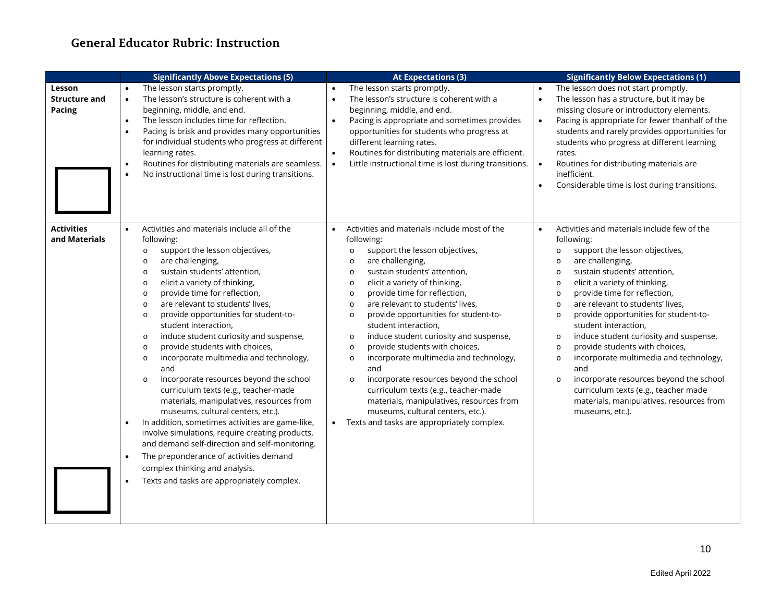|                                                 | <b>Significantly Above Expectations (5)</b>                                                                                                                                                                                                                                                                                                                                                                                                                                                                                                                                                                                                                                                                                                                                                                                                                                                                                                                                                                                                                               | <b>At Expectations (3)</b>                                                                                                                                                                                                                                                                                                                                                                                                                                                                                                                                                                                                                                                                                                                                                                                  | <b>Significantly Below Expectations (1)</b>                                                                                                                                                                                                                                                                                                                                                                                                                                                                                                                                                                                                                                                                                                |
|-------------------------------------------------|---------------------------------------------------------------------------------------------------------------------------------------------------------------------------------------------------------------------------------------------------------------------------------------------------------------------------------------------------------------------------------------------------------------------------------------------------------------------------------------------------------------------------------------------------------------------------------------------------------------------------------------------------------------------------------------------------------------------------------------------------------------------------------------------------------------------------------------------------------------------------------------------------------------------------------------------------------------------------------------------------------------------------------------------------------------------------|-------------------------------------------------------------------------------------------------------------------------------------------------------------------------------------------------------------------------------------------------------------------------------------------------------------------------------------------------------------------------------------------------------------------------------------------------------------------------------------------------------------------------------------------------------------------------------------------------------------------------------------------------------------------------------------------------------------------------------------------------------------------------------------------------------------|--------------------------------------------------------------------------------------------------------------------------------------------------------------------------------------------------------------------------------------------------------------------------------------------------------------------------------------------------------------------------------------------------------------------------------------------------------------------------------------------------------------------------------------------------------------------------------------------------------------------------------------------------------------------------------------------------------------------------------------------|
| Lesson<br><b>Structure and</b><br><b>Pacing</b> | The lesson starts promptly.<br>$\bullet$<br>The lesson's structure is coherent with a<br>$\bullet$<br>beginning, middle, and end.<br>The lesson includes time for reflection.<br>$\bullet$<br>Pacing is brisk and provides many opportunities<br>for individual students who progress at different<br>learning rates.<br>Routines for distributing materials are seamless.<br>$\bullet$<br>No instructional time is lost during transitions.<br>$\bullet$                                                                                                                                                                                                                                                                                                                                                                                                                                                                                                                                                                                                                 | The lesson starts promptly.<br>The lesson's structure is coherent with a<br>$\bullet$<br>beginning, middle, and end.<br>Pacing is appropriate and sometimes provides<br>opportunities for students who progress at<br>different learning rates.<br>Routines for distributing materials are efficient.<br>Little instructional time is lost during transitions.<br>$\bullet$                                                                                                                                                                                                                                                                                                                                                                                                                                 | The lesson does not start promptly.<br>$\bullet$<br>The lesson has a structure, but it may be<br>$\bullet$<br>missing closure or introductory elements.<br>Pacing is appropriate for fewer thanhalf of the<br>$\bullet$<br>students and rarely provides opportunities for<br>students who progress at different learning<br>rates.<br>$\bullet$<br>Routines for distributing materials are<br>inefficient.<br>Considerable time is lost during transitions.<br>$\bullet$                                                                                                                                                                                                                                                                   |
| <b>Activities</b><br>and Materials              | Activities and materials include all of the<br>$\bullet$<br>following:<br>support the lesson objectives,<br>$\circ$<br>are challenging,<br>$\circ$<br>sustain students' attention,<br>$\circ$<br>elicit a variety of thinking,<br>$\circ$<br>provide time for reflection,<br>$\circ$<br>are relevant to students' lives,<br>$\circ$<br>provide opportunities for student-to-<br>$\circ$<br>student interaction,<br>induce student curiosity and suspense,<br>$\circ$<br>provide students with choices,<br>$\circ$<br>incorporate multimedia and technology,<br>$\circ$<br>and<br>incorporate resources beyond the school<br>$\circ$<br>curriculum texts (e.g., teacher-made<br>materials, manipulatives, resources from<br>museums, cultural centers, etc.).<br>In addition, sometimes activities are game-like,<br>involve simulations, require creating products,<br>and demand self-direction and self-monitoring.<br>The preponderance of activities demand<br>$\bullet$<br>complex thinking and analysis.<br>Texts and tasks are appropriately complex.<br>$\bullet$ | Activities and materials include most of the<br>following:<br>support the lesson objectives,<br>$\circ$<br>are challenging,<br>$\circ$<br>sustain students' attention,<br>$\circ$<br>elicit a variety of thinking,<br>$\circ$<br>provide time for reflection,<br>$\circ$<br>are relevant to students' lives,<br>$\circ$<br>provide opportunities for student-to-<br>$\circ$<br>student interaction,<br>induce student curiosity and suspense,<br>$\circ$<br>provide students with choices,<br>$\circ$<br>incorporate multimedia and technology,<br>$\circ$<br>and<br>incorporate resources beyond the school<br>$\circ$<br>curriculum texts (e.g., teacher-made<br>materials, manipulatives, resources from<br>museums, cultural centers, etc.).<br>Texts and tasks are appropriately complex.<br>$\bullet$ | Activities and materials include few of the<br>$\bullet$<br>following:<br>support the lesson objectives,<br>$\circ$<br>are challenging,<br>$\circ$<br>sustain students' attention,<br>$\circ$<br>elicit a variety of thinking,<br>$\circ$<br>provide time for reflection,<br>$\circ$<br>are relevant to students' lives,<br>$\circ$<br>provide opportunities for student-to-<br>$\circ$<br>student interaction,<br>induce student curiosity and suspense,<br>$\circ$<br>provide students with choices,<br>$\circ$<br>incorporate multimedia and technology,<br>$\circ$<br>and<br>incorporate resources beyond the school<br>$\circ$<br>curriculum texts (e.g., teacher made<br>materials, manipulatives, resources from<br>museums, etc.). |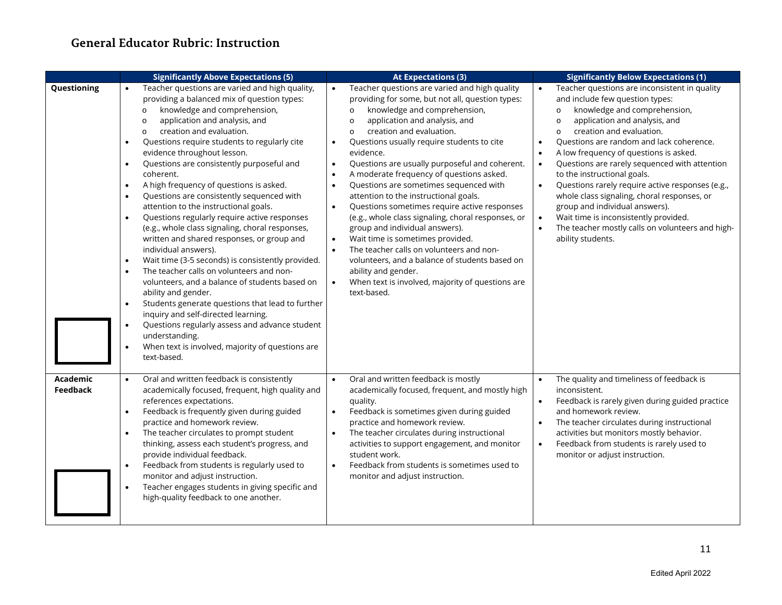|                                    | <b>Significantly Above Expectations (5)</b>                                                                                                                                                                                                                                                                                                                                                                                                                                                                                                                                                                                                                                                                                                                                                                                                                                                                                                                                                                                                                                                                                                                                                                                  | <b>At Expectations (3)</b>                                                                                                                                                                                                                                                                                                                                                                                                                                                                                                                                                                                                                                                                                                                                                                                                                                                                                                                 | <b>Significantly Below Expectations (1)</b>                                                                                                                                                                                                                                                                                                                                                                                                                                                                                                                                                                                                                                                                  |
|------------------------------------|------------------------------------------------------------------------------------------------------------------------------------------------------------------------------------------------------------------------------------------------------------------------------------------------------------------------------------------------------------------------------------------------------------------------------------------------------------------------------------------------------------------------------------------------------------------------------------------------------------------------------------------------------------------------------------------------------------------------------------------------------------------------------------------------------------------------------------------------------------------------------------------------------------------------------------------------------------------------------------------------------------------------------------------------------------------------------------------------------------------------------------------------------------------------------------------------------------------------------|--------------------------------------------------------------------------------------------------------------------------------------------------------------------------------------------------------------------------------------------------------------------------------------------------------------------------------------------------------------------------------------------------------------------------------------------------------------------------------------------------------------------------------------------------------------------------------------------------------------------------------------------------------------------------------------------------------------------------------------------------------------------------------------------------------------------------------------------------------------------------------------------------------------------------------------------|--------------------------------------------------------------------------------------------------------------------------------------------------------------------------------------------------------------------------------------------------------------------------------------------------------------------------------------------------------------------------------------------------------------------------------------------------------------------------------------------------------------------------------------------------------------------------------------------------------------------------------------------------------------------------------------------------------------|
| Questioning                        | Teacher questions are varied and high quality,<br>providing a balanced mix of question types:<br>knowledge and comprehension,<br>$\circ$<br>application and analysis, and<br>$\circ$<br>creation and evaluation.<br>$\circ$<br>Questions require students to regularly cite<br>$\bullet$<br>evidence throughout lesson.<br>Questions are consistently purposeful and<br>$\bullet$<br>coherent.<br>A high frequency of questions is asked.<br>$\bullet$<br>Questions are consistently sequenced with<br>$\bullet$<br>attention to the instructional goals.<br>Questions regularly require active responses<br>$\bullet$<br>(e.g., whole class signaling, choral responses,<br>written and shared responses, or group and<br>individual answers).<br>Wait time (3-5 seconds) is consistently provided.<br>$\bullet$<br>The teacher calls on volunteers and non-<br>$\bullet$<br>volunteers, and a balance of students based on<br>ability and gender.<br>Students generate questions that lead to further<br>$\bullet$<br>inquiry and self-directed learning.<br>Questions regularly assess and advance student<br>$\bullet$<br>understanding.<br>When text is involved, majority of questions are<br>$\bullet$<br>text-based. | Teacher questions are varied and high quality<br>providing for some, but not all, question types:<br>knowledge and comprehension,<br>$\circ$<br>application and analysis, and<br>$\circ$<br>creation and evaluation.<br>$\circ$<br>Questions usually require students to cite<br>$\bullet$<br>evidence.<br>Questions are usually purposeful and coherent.<br>$\bullet$<br>A moderate frequency of questions asked.<br>Questions are sometimes sequenced with<br>$\bullet$<br>attention to the instructional goals.<br>Questions sometimes require active responses<br>$\bullet$<br>(e.g., whole class signaling, choral responses, or<br>group and individual answers).<br>Wait time is sometimes provided.<br>$\bullet$<br>The teacher calls on volunteers and non-<br>$\bullet$<br>volunteers, and a balance of students based on<br>ability and gender.<br>When text is involved, majority of questions are<br>$\bullet$<br>text-based. | Teacher questions are inconsistent in quality<br>and include few question types:<br>knowledge and comprehension,<br>$\circ$<br>application and analysis, and<br>$\circ$<br>creation and evaluation.<br>$\circ$<br>Questions are random and lack coherence.<br>$\bullet$<br>A low frequency of questions is asked.<br>$\bullet$<br>Questions are rarely sequenced with attention<br>$\bullet$<br>to the instructional goals.<br>Questions rarely require active responses (e.g.,<br>$\bullet$<br>whole class signaling, choral responses, or<br>group and individual answers).<br>Wait time is inconsistently provided.<br>$\bullet$<br>The teacher mostly calls on volunteers and high-<br>ability students. |
| <b>Academic</b><br><b>Feedback</b> | Oral and written feedback is consistently<br>$\bullet$<br>academically focused, frequent, high quality and<br>references expectations.<br>Feedback is frequently given during guided<br>$\bullet$<br>practice and homework review.<br>The teacher circulates to prompt student<br>thinking, assess each student's progress, and<br>provide individual feedback.<br>Feedback from students is regularly used to<br>$\bullet$<br>monitor and adjust instruction.<br>Teacher engages students in giving specific and<br>high-quality feedback to one another.                                                                                                                                                                                                                                                                                                                                                                                                                                                                                                                                                                                                                                                                   | Oral and written feedback is mostly<br>$\bullet$<br>academically focused, frequent, and mostly high<br>quality.<br>Feedback is sometimes given during guided<br>practice and homework review.<br>The teacher circulates during instructional<br>activities to support engagement, and monitor<br>student work.<br>Feedback from students is sometimes used to<br>$\bullet$<br>monitor and adjust instruction.                                                                                                                                                                                                                                                                                                                                                                                                                                                                                                                              | The quality and timeliness of feedback is<br>inconsistent.<br>Feedback is rarely given during guided practice<br>and homework review.<br>The teacher circulates during instructional<br>activities but monitors mostly behavior.<br>Feedback from students is rarely used to<br>$\bullet$<br>monitor or adjust instruction.                                                                                                                                                                                                                                                                                                                                                                                  |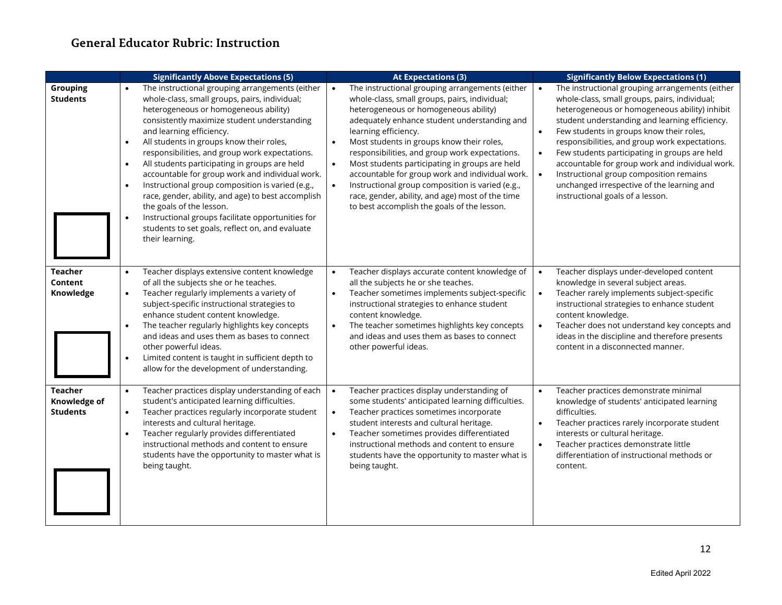|                                                   | <b>Significantly Above Expectations (5)</b>                                                                                                                                                                                                                                                                                                                                                                                                                                                                                                                                                                                                                                                                                                 | <b>At Expectations (3)</b>                                                                                                                                                                                                                                                                                                                                                                                                                                                                                                                                                                                                       | <b>Significantly Below Expectations (1)</b>                                                                                                                                                                                                                                                                                                                                                                                                                                                                                                                  |
|---------------------------------------------------|---------------------------------------------------------------------------------------------------------------------------------------------------------------------------------------------------------------------------------------------------------------------------------------------------------------------------------------------------------------------------------------------------------------------------------------------------------------------------------------------------------------------------------------------------------------------------------------------------------------------------------------------------------------------------------------------------------------------------------------------|----------------------------------------------------------------------------------------------------------------------------------------------------------------------------------------------------------------------------------------------------------------------------------------------------------------------------------------------------------------------------------------------------------------------------------------------------------------------------------------------------------------------------------------------------------------------------------------------------------------------------------|--------------------------------------------------------------------------------------------------------------------------------------------------------------------------------------------------------------------------------------------------------------------------------------------------------------------------------------------------------------------------------------------------------------------------------------------------------------------------------------------------------------------------------------------------------------|
| <b>Grouping</b><br><b>Students</b>                | The instructional grouping arrangements (either<br>$\bullet$<br>whole-class, small groups, pairs, individual;<br>heterogeneous or homogeneous ability)<br>consistently maximize student understanding<br>and learning efficiency.<br>All students in groups know their roles,<br>$\bullet$<br>responsibilities, and group work expectations.<br>All students participating in groups are held<br>$\bullet$<br>accountable for group work and individual work.<br>Instructional group composition is varied (e.g.,<br>$\bullet$<br>race, gender, ability, and age) to best accomplish<br>the goals of the lesson.<br>Instructional groups facilitate opportunities for<br>students to set goals, reflect on, and evaluate<br>their learning. | The instructional grouping arrangements (either<br>$\bullet$<br>whole-class, small groups, pairs, individual;<br>heterogeneous or homogeneous ability)<br>adequately enhance student understanding and<br>learning efficiency.<br>Most students in groups know their roles,<br>$\bullet$<br>responsibilities, and group work expectations.<br>Most students participating in groups are held<br>$\bullet$<br>accountable for group work and individual work.<br>Instructional group composition is varied (e.g.,<br>$\bullet$<br>race, gender, ability, and age) most of the time<br>to best accomplish the goals of the lesson. | The instructional grouping arrangements (either<br>$\bullet$<br>whole-class, small groups, pairs, individual;<br>heterogeneous or homogeneous ability) inhibit<br>student understanding and learning efficiency.<br>Few students in groups know their roles,<br>responsibilities, and group work expectations.<br>Few students participating in groups are held<br>accountable for group work and individual work.<br>Instructional group composition remains<br>$\bullet$<br>unchanged irrespective of the learning and<br>instructional goals of a lesson. |
| <b>Teacher</b><br>Content<br>Knowledge            | Teacher displays extensive content knowledge<br>of all the subjects she or he teaches.<br>Teacher regularly implements a variety of<br>$\bullet$<br>subject-specific instructional strategies to<br>enhance student content knowledge.<br>The teacher regularly highlights key concepts<br>and ideas and uses them as bases to connect<br>other powerful ideas.<br>Limited content is taught in sufficient depth to<br>$\bullet$<br>allow for the development of understanding.                                                                                                                                                                                                                                                             | Teacher displays accurate content knowledge of<br>all the subjects he or she teaches.<br>Teacher sometimes implements subject-specific<br>$\bullet$<br>instructional strategies to enhance student<br>content knowledge.<br>The teacher sometimes highlights key concepts<br>and ideas and uses them as bases to connect<br>other powerful ideas.                                                                                                                                                                                                                                                                                | Teacher displays under-developed content<br>$\bullet$<br>knowledge in several subject areas.<br>Teacher rarely implements subject-specific<br>$\bullet$<br>instructional strategies to enhance student<br>content knowledge.<br>Teacher does not understand key concepts and<br>$\bullet$<br>ideas in the discipline and therefore presents<br>content in a disconnected manner.                                                                                                                                                                             |
| <b>Teacher</b><br>Knowledge of<br><b>Students</b> | Teacher practices display understanding of each<br>$\bullet$<br>student's anticipated learning difficulties.<br>Teacher practices regularly incorporate student<br>interests and cultural heritage.<br>Teacher regularly provides differentiated<br>$\bullet$<br>instructional methods and content to ensure<br>students have the opportunity to master what is<br>being taught.                                                                                                                                                                                                                                                                                                                                                            | Teacher practices display understanding of<br>$\bullet$<br>some students' anticipated learning difficulties.<br>Teacher practices sometimes incorporate<br>$\bullet$<br>student interests and cultural heritage.<br>Teacher sometimes provides differentiated<br>$\bullet$<br>instructional methods and content to ensure<br>students have the opportunity to master what is<br>being taught.                                                                                                                                                                                                                                    | Teacher practices demonstrate minimal<br>knowledge of students' anticipated learning<br>difficulties.<br>Teacher practices rarely incorporate student<br>interests or cultural heritage.<br>Teacher practices demonstrate little<br>differentiation of instructional methods or<br>content.                                                                                                                                                                                                                                                                  |